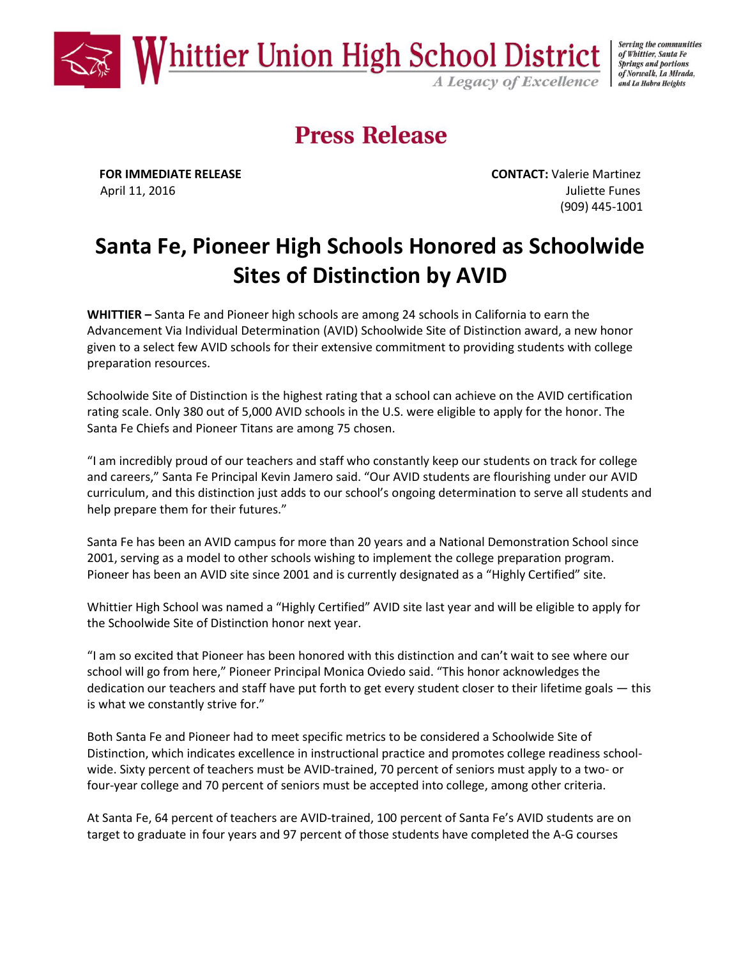

Serving the communities of Whittier, Santa Fe **Springs and portions** of Norwalk, La Mirada,

## **Press Release**

**FOR IMMEDIATE RELEASE CONTACT:** Valerie Martinez April 11, 2016 **Juliette Funes** (909) 445-1001

## **Santa Fe, Pioneer High Schools Honored as Schoolwide Sites of Distinction by AVID**

**WHITTIER –** Santa Fe and Pioneer high schools are among 24 schools in California to earn the Advancement Via Individual Determination (AVID) Schoolwide Site of Distinction award, a new honor given to a select few AVID schools for their extensive commitment to providing students with college preparation resources.

Schoolwide Site of Distinction is the highest rating that a school can achieve on the AVID certification rating scale. Only 380 out of 5,000 AVID schools in the U.S. were eligible to apply for the honor. The Santa Fe Chiefs and Pioneer Titans are among 75 chosen.

"I am incredibly proud of our teachers and staff who constantly keep our students on track for college and careers," Santa Fe Principal Kevin Jamero said. "Our AVID students are flourishing under our AVID curriculum, and this distinction just adds to our school's ongoing determination to serve all students and help prepare them for their futures."

Santa Fe has been an AVID campus for more than 20 years and a National Demonstration School since 2001, serving as a model to other schools wishing to implement the college preparation program. Pioneer has been an AVID site since 2001 and is currently designated as a "Highly Certified" site.

Whittier High School was named a "Highly Certified" AVID site last year and will be eligible to apply for the Schoolwide Site of Distinction honor next year.

"I am so excited that Pioneer has been honored with this distinction and can't wait to see where our school will go from here," Pioneer Principal Monica Oviedo said. "This honor acknowledges the dedication our teachers and staff have put forth to get every student closer to their lifetime goals — this is what we constantly strive for."

Both Santa Fe and Pioneer had to meet specific metrics to be considered a Schoolwide Site of Distinction, which indicates excellence in instructional practice and promotes college readiness schoolwide. Sixty percent of teachers must be AVID-trained, 70 percent of seniors must apply to a two- or four-year college and 70 percent of seniors must be accepted into college, among other criteria.

At Santa Fe, 64 percent of teachers are AVID-trained, 100 percent of Santa Fe's AVID students are on target to graduate in four years and 97 percent of those students have completed the A-G courses